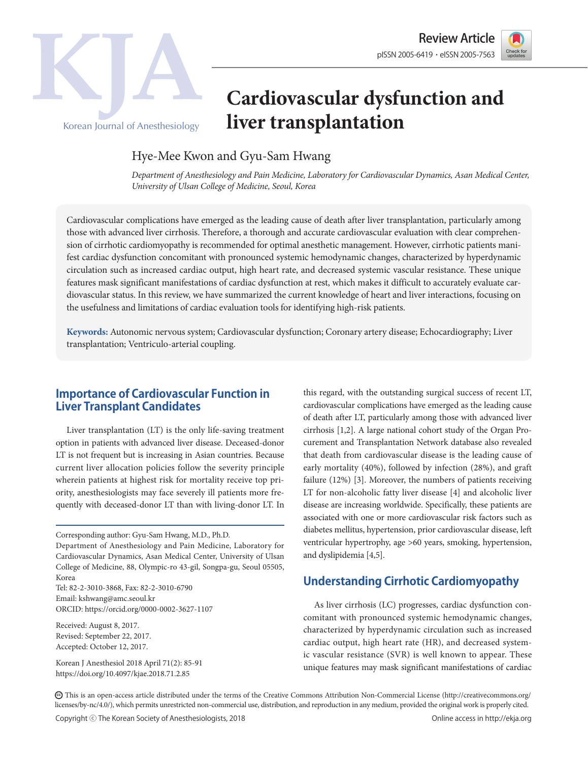



# **Cardiovascular dysfunction and liver transplantation**

# Hye-Mee Kwon and Gyu-Sam Hwang

*Department of Anesthesiology and Pain Medicine, Laboratory for Cardiovascular Dynamics, Asan Medical Center, University of Ulsan College of Medicine, Seoul, Korea*

Cardiovascular complications have emerged as the leading cause of death after liver transplantation, particularly among those with advanced liver cirrhosis. Therefore, a thorough and accurate cardiovascular evaluation with clear comprehension of cirrhotic cardiomyopathy is recommended for optimal anesthetic management. However, cirrhotic patients manifest cardiac dysfunction concomitant with pronounced systemic hemodynamic changes, characterized by hyperdynamic circulation such as increased cardiac output, high heart rate, and decreased systemic vascular resistance. These unique features mask significant manifestations of cardiac dysfunction at rest, which makes it difficult to accurately evaluate cardiovascular status. In this review, we have summarized the current knowledge of heart and liver interactions, focusing on the usefulness and limitations of cardiac evaluation tools for identifying high-risk patients.

**Keywords:** Autonomic nervous system; Cardiovascular dysfunction; Coronary artery disease; Echocardiography; Liver transplantation; Ventriculo-arterial coupling.

# **Importance of Cardiovascular Function in Liver Transplant Candidates**

Liver transplantation (LT) is the only life-saving treatment option in patients with advanced liver disease. Deceased-donor LT is not frequent but is increasing in Asian countries. Because current liver allocation policies follow the severity principle wherein patients at highest risk for mortality receive top priority, anesthesiologists may face severely ill patients more frequently with deceased-donor LT than with living-donor LT. In

Tel: 82-2-3010-3868, Fax: 82-2-3010-6790 Email: kshwang@amc.seoul.kr ORCID: https://orcid.org/0000-0002-3627-1107

Received: August 8, 2017. Revised: September 22, 2017. Accepted: October 12, 2017.

Korean J Anesthesiol 2018 April 71(2): 85-91 https://doi.org/10.4097/kjae.2018.71.2.85

this regard, with the outstanding surgical success of recent LT, cardiovascular complications have emerged as the leading cause of death after LT, particularly among those with advanced liver cirrhosis [1,2]. A large national cohort study of the Organ Procurement and Transplantation Network database also revealed that death from cardiovascular disease is the leading cause of early mortality (40%), followed by infection (28%), and graft failure (12%) [3]. Moreover, the numbers of patients receiving LT for non-alcoholic fatty liver disease [4] and alcoholic liver disease are increasing worldwide. Specifically, these patients are associated with one or more cardiovascular risk factors such as diabetes mellitus, hypertension, prior cardiovascular disease, left ventricular hypertrophy, age >60 years, smoking, hypertension, and dyslipidemia [4,5].

# **Understanding Cirrhotic Cardiomyopathy**

As liver cirrhosis (LC) progresses, cardiac dysfunction concomitant with pronounced systemic hemodynamic changes, characterized by hyperdynamic circulation such as increased cardiac output, high heart rate (HR), and decreased systemic vascular resistance (SVR) is well known to appear. These unique features may mask significant manifestations of cardiac

CC This is an open-access article distributed under the terms of the Creative Commons Attribution Non-Commercial License (http://creativecommons.org/ licenses/by-nc/4.0/), which permits unrestricted non-commercial use, distribution, and reproduction in any medium, provided the original work is properly cited.

Corresponding author: Gyu-Sam Hwang, M.D., Ph.D.

Department of Anesthesiology and Pain Medicine, Laboratory for Cardiovascular Dynamics, Asan Medical Center, University of Ulsan College of Medicine, 88, Olympic-ro 43-gil, Songpa-gu, Seoul 05505, Korea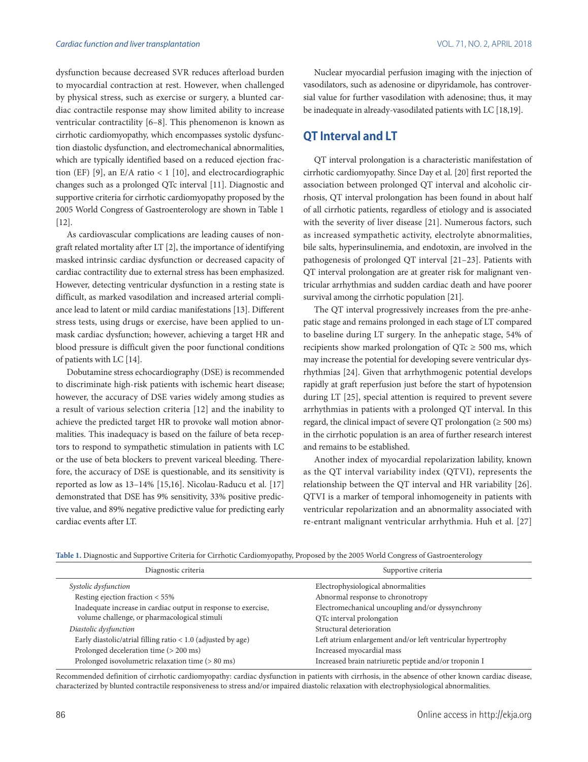dysfunction because decreased SVR reduces afterload burden to myocardial contraction at rest. However, when challenged by physical stress, such as exercise or surgery, a blunted cardiac contractile response may show limited ability to increase ventricular contractility [6–8]. This phenomenon is known as cirrhotic cardiomyopathy, which encompasses systolic dysfunction diastolic dysfunction, and electromechanical abnormalities, which are typically identified based on a reduced ejection fraction (EF) [9], an E/A ratio  $\lt 1$  [10], and electrocardiographic changes such as a prolonged QTc interval [11]. Diagnostic and supportive criteria for cirrhotic cardiomyopathy proposed by the 2005 World Congress of Gastroenterology are shown in Table 1 [12].

As cardiovascular complications are leading causes of nongraft related mortality after LT [2], the importance of identifying masked intrinsic cardiac dysfunction or decreased capacity of cardiac contractility due to external stress has been emphasized. However, detecting ventricular dysfunction in a resting state is difficult, as marked vasodilation and increased arterial compliance lead to latent or mild cardiac manifestations [13]. Different stress tests, using drugs or exercise, have been applied to unmask cardiac dysfunction; however, achieving a target HR and blood pressure is difficult given the poor functional conditions of patients with LC [14].

Dobutamine stress echocardiography (DSE) is recommended to discriminate high-risk patients with ischemic heart disease; however, the accuracy of DSE varies widely among studies as a result of various selection criteria [12] and the inability to achieve the predicted target HR to provoke wall motion abnormalities. This inadequacy is based on the failure of beta receptors to respond to sympathetic stimulation in patients with LC or the use of beta blockers to prevent variceal bleeding. Therefore, the accuracy of DSE is questionable, and its sensitivity is reported as low as 13–14% [15,16]. Nicolau-Raducu et al. [17] demonstrated that DSE has 9% sensitivity, 33% positive predictive value, and 89% negative predictive value for predicting early cardiac events after LT.

Nuclear myocardial perfusion imaging with the injection of vasodilators, such as adenosine or dipyridamole, has controversial value for further vasodilation with adenosine; thus, it may be inadequate in already-vasodilated patients with LC [18,19].

# **QT Interval and LT**

QT interval prolongation is a characteristic manifestation of cirrhotic cardiomyopathy. Since Day et al. [20] first reported the association between prolonged QT interval and alcoholic cirrhosis, QT interval prolongation has been found in about half of all cirrhotic patients, regardless of etiology and is associated with the severity of liver disease [21]. Numerous factors, such as increased sympathetic activity, electrolyte abnormalities, bile salts, hyperinsulinemia, and endotoxin, are involved in the pathogenesis of prolonged QT interval [21–23]. Patients with QT interval prolongation are at greater risk for malignant ventricular arrhythmias and sudden cardiac death and have poorer survival among the cirrhotic population [21].

The QT interval progressively increases from the pre-anhepatic stage and remains prolonged in each stage of LT compared to baseline during LT surgery. In the anhepatic stage, 54% of recipients show marked prolongation of  $QTc \ge 500$  ms, which may increase the potential for developing severe ventricular dysrhythmias [24]. Given that arrhythmogenic potential develops rapidly at graft reperfusion just before the start of hypotension during LT [25], special attention is required to prevent severe arrhythmias in patients with a prolonged QT interval. In this regard, the clinical impact of severe QT prolongation ( $\geq 500$  ms) in the cirrhotic population is an area of further research interest and remains to be established.

Another index of myocardial repolarization lability, known as the QT interval variability index (QTVI), represents the relationship between the QT interval and HR variability [26]. QTVI is a marker of temporal inhomogeneity in patients with ventricular repolarization and an abnormality associated with re-entrant malignant ventricular arrhythmia. Huh et al. [27]

| Diagnostic criteria                                            | Supportive criteria                                         |
|----------------------------------------------------------------|-------------------------------------------------------------|
| Systolic dysfunction                                           | Electrophysiological abnormalities                          |
| Resting ejection fraction < 55%                                | Abnormal response to chronotropy                            |
| Inadequate increase in cardiac output in response to exercise, | Electromechanical uncoupling and/or dyssynchrony            |
| volume challenge, or pharmacological stimuli                   | QTc interval prolongation                                   |
| Diastolic dysfunction                                          | Structural deterioration                                    |
| Early diastolic/atrial filling ratio $<$ 1.0 (adjusted by age) | Left atrium enlargement and/or left ventricular hypertrophy |
| Prolonged deceleration time (> 200 ms)                         | Increased myocardial mass                                   |
| Prolonged isovolumetric relaxation time (> 80 ms)              | Increased brain natriuretic peptide and/or troponin I       |

**Table 1.** Diagnostic and Supportive Criteria for Cirrhotic Cardiomyopathy, Proposed by the 2005 World Congress of Gastroenterology

Recommended definition of cirrhotic cardiomyopathy: cardiac dysfunction in patients with cirrhosis, in the absence of other known cardiac disease, characterized by blunted contractile responsiveness to stress and/or impaired diastolic relaxation with electrophysiological abnormalities.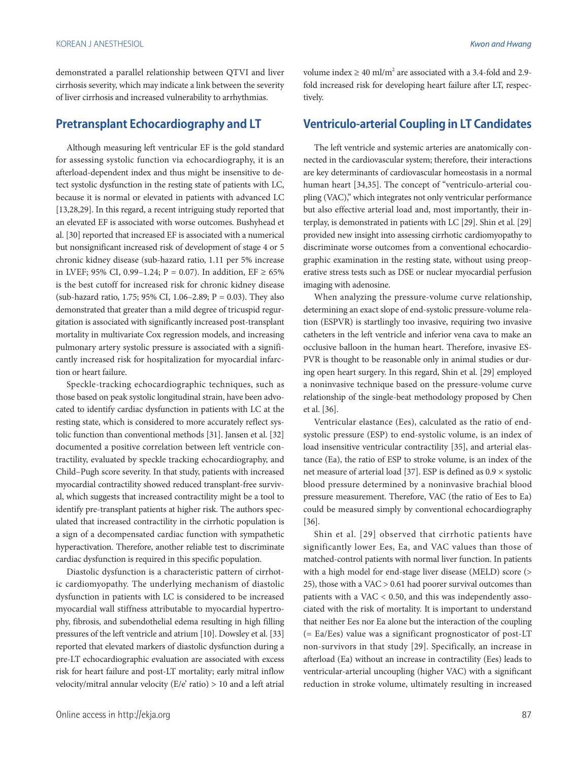demonstrated a parallel relationship between QTVI and liver cirrhosis severity, which may indicate a link between the severity of liver cirrhosis and increased vulnerability to arrhythmias.

# **Pretransplant Echocardiography and LT**

Although measuring left ventricular EF is the gold standard for assessing systolic function via echocardiography, it is an afterload-dependent index and thus might be insensitive to detect systolic dysfunction in the resting state of patients with LC, because it is normal or elevated in patients with advanced LC [13,28,29]. In this regard, a recent intriguing study reported that an elevated EF is associated with worse outcomes. Bushyhead et al. [30] reported that increased EF is associated with a numerical but nonsignificant increased risk of development of stage 4 or 5 chronic kidney disease (sub-hazard ratio, 1.11 per 5% increase in LVEF; 95% CI, 0.99−1.24; P = 0.07). In addition, EF ≥ 65% is the best cutoff for increased risk for chronic kidney disease (sub-hazard ratio, 1.75; 95% CI, 1.06–2.89; P = 0.03). They also demonstrated that greater than a mild degree of tricuspid regurgitation is associated with significantly increased post-transplant mortality in multivariate Cox regression models, and increasing pulmonary artery systolic pressure is associated with a significantly increased risk for hospitalization for myocardial infarction or heart failure.

Speckle-tracking echocardiographic techniques, such as those based on peak systolic longitudinal strain, have been advocated to identify cardiac dysfunction in patients with LC at the resting state, which is considered to more accurately reflect systolic function than conventional methods [31]. Jansen et al. [32] documented a positive correlation between left ventricle contractility, evaluated by speckle tracking echocardiography, and Child–Pugh score severity. In that study, patients with increased myocardial contractility showed reduced transplant-free survival, which suggests that increased contractility might be a tool to identify pre-transplant patients at higher risk. The authors speculated that increased contractility in the cirrhotic population is a sign of a decompensated cardiac function with sympathetic hyperactivation. Therefore, another reliable test to discriminate cardiac dysfunction is required in this specific population.

Diastolic dysfunction is a characteristic pattern of cirrhotic cardiomyopathy. The underlying mechanism of diastolic dysfunction in patients with LC is considered to be increased myocardial wall stiffness attributable to myocardial hypertrophy, fibrosis, and subendothelial edema resulting in high filling pressures of the left ventricle and atrium [10]. Dowsley et al. [33] reported that elevated markers of diastolic dysfunction during a pre-LT echocardiographic evaluation are associated with excess risk for heart failure and post-LT mortality; early mitral inflow velocity/mitral annular velocity (E/e' ratio) > 10 and a left atrial

volume index  $\geq 40$  ml/m<sup>2</sup> are associated with a 3.4-fold and 2.9fold increased risk for developing heart failure after LT, respectively.

# **Ventriculo-arterial Coupling in LT Candidates**

The left ventricle and systemic arteries are anatomically connected in the cardiovascular system; therefore, their interactions are key determinants of cardiovascular homeostasis in a normal human heart [34,35]. The concept of "ventriculo-arterial coupling (VAC)," which integrates not only ventricular performance but also effective arterial load and, most importantly, their interplay, is demonstrated in patients with LC [29]. Shin et al. [29] provided new insight into assessing cirrhotic cardiomyopathy to discriminate worse outcomes from a conventional echocardiographic examination in the resting state, without using preoperative stress tests such as DSE or nuclear myocardial perfusion imaging with adenosine.

When analyzing the pressure-volume curve relationship, determining an exact slope of end-systolic pressure-volume relation (ESPVR) is startlingly too invasive, requiring two invasive catheters in the left ventricle and inferior vena cava to make an occlusive balloon in the human heart. Therefore, invasive ES-PVR is thought to be reasonable only in animal studies or during open heart surgery. In this regard, Shin et al. [29] employed a noninvasive technique based on the pressure-volume curve relationship of the single-beat methodology proposed by Chen et al. [36].

Ventricular elastance (Ees), calculated as the ratio of endsystolic pressure (ESP) to end-systolic volume, is an index of load insensitive ventricular contractility [35], and arterial elastance (Ea), the ratio of ESP to stroke volume, is an index of the net measure of arterial load [37]. ESP is defined as  $0.9 \times$  systolic blood pressure determined by a noninvasive brachial blood pressure measurement. Therefore, VAC (the ratio of Ees to Ea) could be measured simply by conventional echocardiography [36].

Shin et al. [29] observed that cirrhotic patients have significantly lower Ees, Ea, and VAC values than those of matched-control patients with normal liver function. In patients with a high model for end-stage liver disease (MELD) score (> 25), those with a VAC > 0.61 had poorer survival outcomes than patients with a  $VAC < 0.50$ , and this was independently associated with the risk of mortality. It is important to understand that neither Ees nor Ea alone but the interaction of the coupling (= Ea/Ees) value was a significant prognosticator of post-LT non-survivors in that study [29]. Specifically, an increase in afterload (Ea) without an increase in contractility (Ees) leads to ventricular-arterial uncoupling (higher VAC) with a significant reduction in stroke volume, ultimately resulting in increased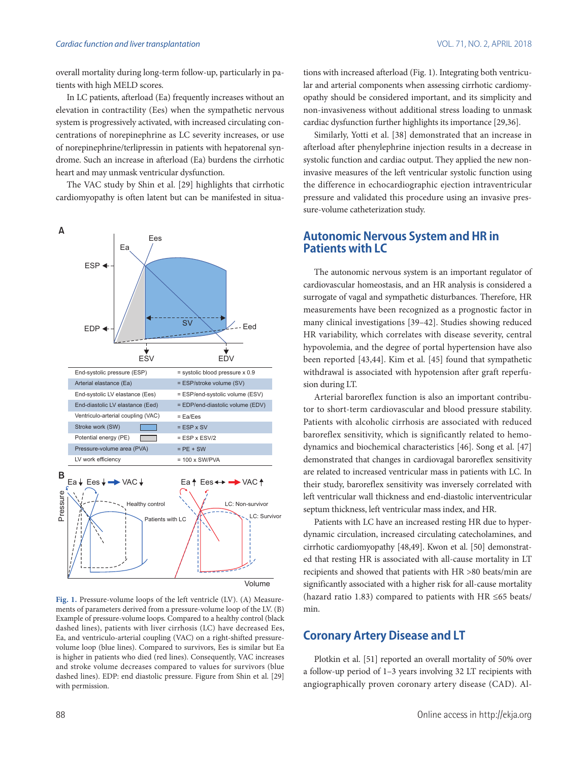#### *Cardiac function and liver transplantation* VOL. 71, NO. 2, APRIL 2018

overall mortality during long-term follow-up, particularly in patients with high MELD scores.

In LC patients, afterload (Ea) frequently increases without an elevation in contractility (Ees) when the sympathetic nervous system is progressively activated, with increased circulating concentrations of norepinephrine as LC severity increases, or use of norepinephrine/terlipressin in patients with hepatorenal syndrome. Such an increase in afterload (Ea) burdens the cirrhotic heart and may unmask ventricular dysfunction.

The VAC study by Shin et al. [29] highlights that cirrhotic cardiomyopathy is often latent but can be manifested in situa-



**Fig. 1.** Pressure-volume loops of the left ventricle (LV). (A) Measurements of parameters derived from a pressure-volume loop of the LV. (B) Example of pressure-volume loops. Compared to a healthy control (black dashed lines), patients with liver cirrhosis (LC) have decreased Ees, Ea, and ventriculo-arterial coupling (VAC) on a right-shifted pressurevolume loop (blue lines). Compared to survivors, Ees is similar but Ea is higher in patients who died (red lines). Consequently, VAC increases and stroke volume decreases compared to values for survivors (blue dashed lines). EDP: end diastolic pressure. Figure from Shin et al. [29] with permission.

tions with increased afterload (Fig. 1). Integrating both ventricular and arterial components when assessing cirrhotic cardiomyopathy should be considered important, and its simplicity and non-invasiveness without additional stress loading to unmask cardiac dysfunction further highlights its importance [29,36].

Similarly, Yotti et al. [38] demonstrated that an increase in afterload after phenylephrine injection results in a decrease in systolic function and cardiac output. They applied the new noninvasive measures of the left ventricular systolic function using the difference in echocardiographic ejection intraventricular pressure and validated this procedure using an invasive pressure-volume catheterization study.

# **Autonomic Nervous System and HR in Patients with LC**

The autonomic nervous system is an important regulator of cardiovascular homeostasis, and an HR analysis is considered a surrogate of vagal and sympathetic disturbances. Therefore, HR measurements have been recognized as a prognostic factor in many clinical investigations [39–42]. Studies showing reduced HR variability, which correlates with disease severity, central hypovolemia, and the degree of portal hypertension have also been reported [43,44]. Kim et al. [45] found that sympathetic withdrawal is associated with hypotension after graft reperfusion during LT.

Arterial baroreflex function is also an important contributor to short-term cardiovascular and blood pressure stability. Patients with alcoholic cirrhosis are associated with reduced baroreflex sensitivity, which is significantly related to hemodynamics and biochemical characteristics [46]. Song et al. [47] demonstrated that changes in cardiovagal baroreflex sensitivity are related to increased ventricular mass in patients with LC. In their study, baroreflex sensitivity was inversely correlated with left ventricular wall thickness and end-diastolic interventricular septum thickness, left ventricular mass index, and HR.

Patients with LC have an increased resting HR due to hyperdynamic circulation, increased circulating catecholamines, and cirrhotic cardiomyopathy [48,49]. Kwon et al. [50] demonstrated that resting HR is associated with all-cause mortality in LT recipients and showed that patients with HR >80 beats/min are significantly associated with a higher risk for all-cause mortality (hazard ratio 1.83) compared to patients with HR ≤65 beats/ min.

# **Coronary Artery Disease and LT**

Plotkin et al. [51] reported an overall mortality of 50% over a follow-up period of 1–3 years involving 32 LT recipients with angiographically proven coronary artery disease (CAD). Al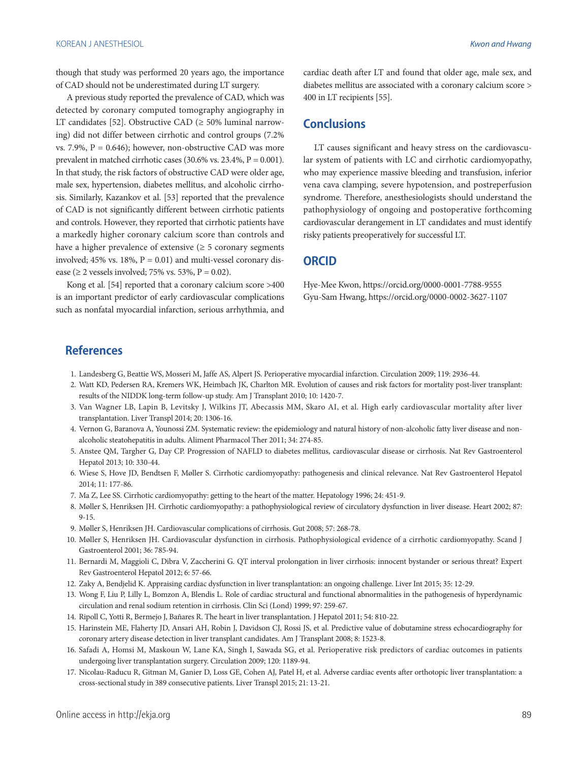though that study was performed 20 years ago, the importance of CAD should not be underestimated during LT surgery.

A previous study reported the prevalence of CAD, which was detected by coronary computed tomography angiography in LT candidates [52]. Obstructive CAD ( $\geq$  50% luminal narrowing) did not differ between cirrhotic and control groups (7.2% vs. 7.9%,  $P = 0.646$ ; however, non-obstructive CAD was more prevalent in matched cirrhotic cases  $(30.6\% \text{ vs. } 23.4\%, P = 0.001)$ . In that study, the risk factors of obstructive CAD were older age, male sex, hypertension, diabetes mellitus, and alcoholic cirrhosis. Similarly, Kazankov et al. [53] reported that the prevalence of CAD is not significantly different between cirrhotic patients and controls. However, they reported that cirrhotic patients have a markedly higher coronary calcium score than controls and have a higher prevalence of extensive  $(≥ 5$  coronary segments involved; 45% vs. 18%,  $P = 0.01$ ) and multi-vessel coronary disease ( $\geq$  2 vessels involved; 75% vs. 53%, P = 0.02).

Kong et al. [54] reported that a coronary calcium score >400 is an important predictor of early cardiovascular complications such as nonfatal myocardial infarction, serious arrhythmia, and

cardiac death after LT and found that older age, male sex, and diabetes mellitus are associated with a coronary calcium score > 400 in LT recipients [55].

# **Conclusions**

LT causes significant and heavy stress on the cardiovascular system of patients with LC and cirrhotic cardiomyopathy, who may experience massive bleeding and transfusion, inferior vena cava clamping, severe hypotension, and postreperfusion syndrome. Therefore, anesthesiologists should understand the pathophysiology of ongoing and postoperative forthcoming cardiovascular derangement in LT candidates and must identify risky patients preoperatively for successful LT.

# **ORCID**

Hye-Mee Kwon, https://orcid.org/0000-0001-7788-9555 Gyu-Sam Hwang, https://orcid.org/0000-0002-3627-1107

# **References**

- 1. Landesberg G, Beattie WS, Mosseri M, Jaffe AS, Alpert JS. Perioperative myocardial infarction. Circulation 2009; 119: 2936-44.
- 2. Watt KD, Pedersen RA, Kremers WK, Heimbach JK, Charlton MR. Evolution of causes and risk factors for mortality post-liver transplant: results of the NIDDK long-term follow-up study. Am J Transplant 2010; 10: 1420-7.
- 3. Van Wagner LB, Lapin B, Levitsky J, Wilkins JT, Abecassis MM, Skaro AI, et al. High early cardiovascular mortality after liver transplantation. Liver Transpl 2014; 20: 1306-16.
- 4. Vernon G, Baranova A, Younossi ZM. Systematic review: the epidemiology and natural history of non-alcoholic fatty liver disease and nonalcoholic steatohepatitis in adults. Aliment Pharmacol Ther 2011; 34: 274-85.
- 5. Anstee QM, Targher G, Day CP. Progression of NAFLD to diabetes mellitus, cardiovascular disease or cirrhosis. Nat Rev Gastroenterol Hepatol 2013; 10: 330-44.
- 6. Wiese S, Hove JD, Bendtsen F, Møller S. Cirrhotic cardiomyopathy: pathogenesis and clinical relevance. Nat Rev Gastroenterol Hepatol 2014; 11: 177-86.
- 7. Ma Z, Lee SS. Cirrhotic cardiomyopathy: getting to the heart of the matter. Hepatology 1996; 24: 451-9.
- 8. Møller S, Henriksen JH. Cirrhotic cardiomyopathy: a pathophysiological review of circulatory dysfunction in liver disease. Heart 2002; 87: 9-15.
- 9. Møller S, Henriksen JH. Cardiovascular complications of cirrhosis. Gut 2008; 57: 268-78.
- 10. Møller S, Henriksen JH. Cardiovascular dysfunction in cirrhosis. Pathophysiological evidence of a cirrhotic cardiomyopathy. Scand J Gastroenterol 2001; 36: 785-94.
- 11. Bernardi M, Maggioli C, Dibra V, Zaccherini G. QT interval prolongation in liver cirrhosis: innocent bystander or serious threat? Expert Rev Gastroenterol Hepatol 2012; 6: 57-66.
- 12. Zaky A, Bendjelid K. Appraising cardiac dysfunction in liver transplantation: an ongoing challenge. Liver Int 2015; 35: 12-29.
- 13. Wong F, Liu P, Lilly L, Bomzon A, Blendis L. Role of cardiac structural and functional abnormalities in the pathogenesis of hyperdynamic circulation and renal sodium retention in cirrhosis. Clin Sci (Lond) 1999; 97: 259-67.
- 14. Ripoll C, Yotti R, Bermejo J, Bañares R. The heart in liver transplantation. J Hepatol 2011; 54: 810-22.
- 15. Harinstein ME, Flaherty JD, Ansari AH, Robin J, Davidson CJ, Rossi JS, et al. Predictive value of dobutamine stress echocardiography for coronary artery disease detection in liver transplant candidates. Am J Transplant 2008; 8: 1523-8.
- 16. Safadi A, Homsi M, Maskoun W, Lane KA, Singh I, Sawada SG, et al. Perioperative risk predictors of cardiac outcomes in patients undergoing liver transplantation surgery. Circulation 2009; 120: 1189-94.
- 17. Nicolau-Raducu R, Gitman M, Ganier D, Loss GE, Cohen AJ, Patel H, et al. Adverse cardiac events after orthotopic liver transplantation: a cross-sectional study in 389 consecutive patients. Liver Transpl 2015; 21: 13-21.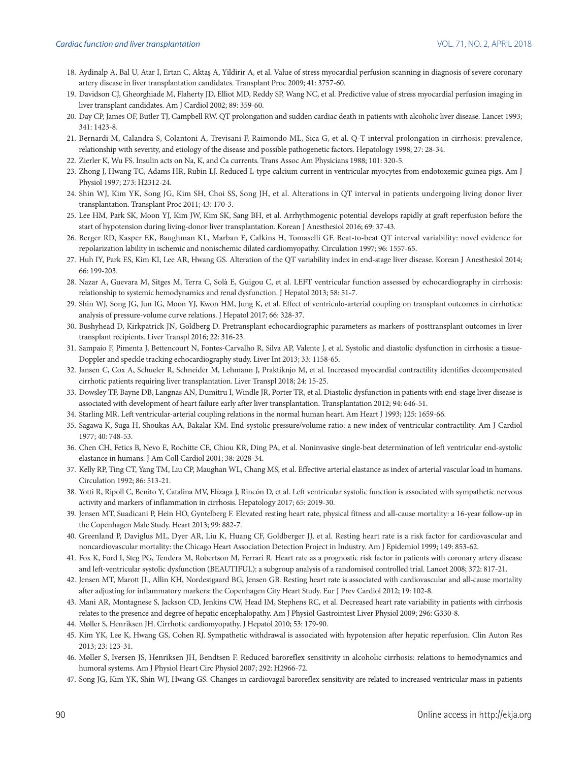- 18. Aydinalp A, Bal U, Atar I, Ertan C, Aktaş A, Yildirir A, et al. Value of stress myocardial perfusion scanning in diagnosis of severe coronary artery disease in liver transplantation candidates. Transplant Proc 2009; 41: 3757-60.
- 19. Davidson CJ, Gheorghiade M, Flaherty JD, Elliot MD, Reddy SP, Wang NC, et al. Predictive value of stress myocardial perfusion imaging in liver transplant candidates. Am J Cardiol 2002; 89: 359-60.
- 20. Day CP, James OF, Butler TJ, Campbell RW. QT prolongation and sudden cardiac death in patients with alcoholic liver disease. Lancet 1993; 341: 1423-8.
- 21. Bernardi M, Calandra S, Colantoni A, Trevisani F, Raimondo ML, Sica G, et al. Q-T interval prolongation in cirrhosis: prevalence, relationship with severity, and etiology of the disease and possible pathogenetic factors. Hepatology 1998; 27: 28-34.
- 22. Zierler K, Wu FS. Insulin acts on Na, K, and Ca currents. Trans Assoc Am Physicians 1988; 101: 320-5.
- 23. Zhong J, Hwang TC, Adams HR, Rubin LJ. Reduced L-type calcium current in ventricular myocytes from endotoxemic guinea pigs. Am J Physiol 1997; 273: H2312-24.
- 24. Shin WJ, Kim YK, Song JG, Kim SH, Choi SS, Song JH, et al. Alterations in QT interval in patients undergoing living donor liver transplantation. Transplant Proc 2011; 43: 170-3.
- 25. Lee HM, Park SK, Moon YJ, Kim JW, Kim SK, Sang BH, et al. Arrhythmogenic potential develops rapidly at graft reperfusion before the start of hypotension during living-donor liver transplantation. Korean J Anesthesiol 2016; 69: 37-43.
- 26. Berger RD, Kasper EK, Baughman KL, Marban E, Calkins H, Tomaselli GF. Beat-to-beat QT interval variability: novel evidence for repolarization lability in ischemic and nonischemic dilated cardiomyopathy. Circulation 1997; 96: 1557-65.
- 27. Huh IY, Park ES, Kim KI, Lee AR, Hwang GS. Alteration of the QT variability index in end-stage liver disease. Korean J Anesthesiol 2014; 66: 199-203.
- 28. Nazar A, Guevara M, Sitges M, Terra C, Solà E, Guigou C, et al. LEFT ventricular function assessed by echocardiography in cirrhosis: relationship to systemic hemodynamics and renal dysfunction. J Hepatol 2013; 58: 51-7.
- 29. Shin WJ, Song JG, Jun IG, Moon YJ, Kwon HM, Jung K, et al. Effect of ventriculo-arterial coupling on transplant outcomes in cirrhotics: analysis of pressure-volume curve relations. J Hepatol 2017; 66: 328-37.
- 30. Bushyhead D, Kirkpatrick JN, Goldberg D. Pretransplant echocardiographic parameters as markers of posttransplant outcomes in liver transplant recipients. Liver Transpl 2016; 22: 316-23.
- 31. Sampaio F, Pimenta J, Bettencourt N, Fontes-Carvalho R, Silva AP, Valente J, et al. Systolic and diastolic dysfunction in cirrhosis: a tissue-Doppler and speckle tracking echocardiography study. Liver Int 2013; 33: 1158-65.
- 32. Jansen C, Cox A, Schueler R, Schneider M, Lehmann J, Praktiknjo M, et al. Increased myocardial contractility identifies decompensated cirrhotic patients requiring liver transplantation. Liver Transpl 2018; 24: 15-25.
- 33. Dowsley TF, Bayne DB, Langnas AN, Dumitru I, Windle JR, Porter TR, et al. Diastolic dysfunction in patients with end-stage liver disease is associated with development of heart failure early after liver transplantation. Transplantation 2012; 94: 646-51.
- 34. Starling MR. Left ventricular-arterial coupling relations in the normal human heart. Am Heart J 1993; 125: 1659-66.
- 35. Sagawa K, Suga H, Shoukas AA, Bakalar KM. End-systolic pressure/volume ratio: a new index of ventricular contractility. Am J Cardiol 1977; 40: 748-53.
- 36. Chen CH, Fetics B, Nevo E, Rochitte CE, Chiou KR, Ding PA, et al. Noninvasive single-beat determination of left ventricular end-systolic elastance in humans. J Am Coll Cardiol 2001; 38: 2028-34.
- 37. Kelly RP, Ting CT, Yang TM, Liu CP, Maughan WL, Chang MS, et al. Effective arterial elastance as index of arterial vascular load in humans. Circulation 1992; 86: 513-21.
- 38. Yotti R, Ripoll C, Benito Y, Catalina MV, Elízaga J, Rincón D, et al. Left ventricular systolic function is associated with sympathetic nervous activity and markers of inflammation in cirrhosis. Hepatology 2017; 65: 2019-30.
- 39. Jensen MT, Suadicani P, Hein HO, Gyntelberg F. Elevated resting heart rate, physical fitness and all-cause mortality: a 16-year follow-up in the Copenhagen Male Study. Heart 2013; 99: 882-7.
- 40. Greenland P, Daviglus ML, Dyer AR, Liu K, Huang CF, Goldberger JJ, et al. Resting heart rate is a risk factor for cardiovascular and noncardiovascular mortality: the Chicago Heart Association Detection Project in Industry. Am J Epidemiol 1999; 149: 853-62.
- 41. Fox K, Ford I, Steg PG, Tendera M, Robertson M, Ferrari R. Heart rate as a prognostic risk factor in patients with coronary artery disease and left-ventricular systolic dysfunction (BEAUTIFUL): a subgroup analysis of a randomised controlled trial. Lancet 2008; 372: 817-21.
- 42. Jensen MT, Marott JL, Allin KH, Nordestgaard BG, Jensen GB. Resting heart rate is associated with cardiovascular and all-cause mortality after adjusting for inflammatory markers: the Copenhagen City Heart Study. Eur J Prev Cardiol 2012; 19: 102-8.
- 43. Mani AR, Montagnese S, Jackson CD, Jenkins CW, Head IM, Stephens RC, et al. Decreased heart rate variability in patients with cirrhosis relates to the presence and degree of hepatic encephalopathy. Am J Physiol Gastrointest Liver Physiol 2009; 296: G330-8.
- 44. Møller S, Henriksen JH. Cirrhotic cardiomyopathy. J Hepatol 2010; 53: 179-90.
- 45. Kim YK, Lee K, Hwang GS, Cohen RJ. Sympathetic withdrawal is associated with hypotension after hepatic reperfusion. Clin Auton Res 2013; 23: 123-31.
- 46. Møller S, Iversen JS, Henriksen JH, Bendtsen F. Reduced baroreflex sensitivity in alcoholic cirrhosis: relations to hemodynamics and humoral systems. Am J Physiol Heart Circ Physiol 2007; 292: H2966-72.
- 47. Song JG, Kim YK, Shin WJ, Hwang GS. Changes in cardiovagal baroreflex sensitivity are related to increased ventricular mass in patients